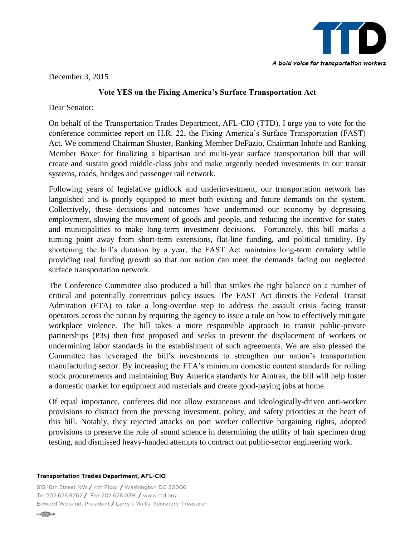

December 3, 2015

## **Vote YES on the Fixing America's Surface Transportation Act**

Dear Senator:

On behalf of the Transportation Trades Department, AFL-CIO (TTD), I urge you to vote for the conference committee report on H.R. 22, the Fixing America's Surface Transportation (FAST) Act. We commend Chairman Shuster, Ranking Member DeFazio, Chairman Inhofe and Ranking Member Boxer for finalizing a bipartisan and multi-year surface transportation bill that will create and sustain good middle-class jobs and make urgently needed investments in our transit systems, roads, bridges and passenger rail network.

Following years of legislative gridlock and underinvestment, our transportation network has languished and is poorly equipped to meet both existing and future demands on the system. Collectively, these decisions and outcomes have undermined our economy by depressing employment, slowing the movement of goods and people, and reducing the incentive for states and municipalities to make long-term investment decisions. Fortunately, this bill marks a turning point away from short-term extensions, flat-line funding, and political timidity. By shortening the bill's duration by a year, the FAST Act maintains long-term certainty while providing real funding growth so that our nation can meet the demands facing our neglected surface transportation network.

The Conference Committee also produced a bill that strikes the right balance on a number of critical and potentially contentious policy issues. The FAST Act directs the Federal Transit Admiration (FTA) to take a long-overdue step to address the assault crisis facing transit operators across the nation by requiring the agency to issue a rule on how to effectively mitigate workplace violence. The bill takes a more responsible approach to transit public-private partnerships (P3s) then first proposed and seeks to prevent the displacement of workers or undermining labor standards in the establishment of such agreements. We are also pleased the Committee has leveraged the bill's investments to strengthen our nation's transportation manufacturing sector. By increasing the FTA's minimum domestic content standards for rolling stock procurements and maintaining Buy America standards for Amtrak, the bill will help foster a domestic market for equipment and materials and create good-paying jobs at home.

Of equal importance, conferees did not allow extraneous and ideologically-driven anti-worker provisions to distract from the pressing investment, policy, and safety priorities at the heart of this bill. Notably, they rejected attacks on port worker collective bargaining rights, adopted provisions to preserve the role of sound science in determining the utility of hair specimen drug testing, and dismissed heavy-handed attempts to contract out public-sector engineering work.

## **Transportation Trades Department, AFL-CIO**

815 16th Street NW / 4th Floor / Washington DC 20006 Tel:202.628.9262 / Fax:202.628.0391 / www.ttd.org Edward Wytkind, President / Larry I. Willis, Secretary-Treasurer